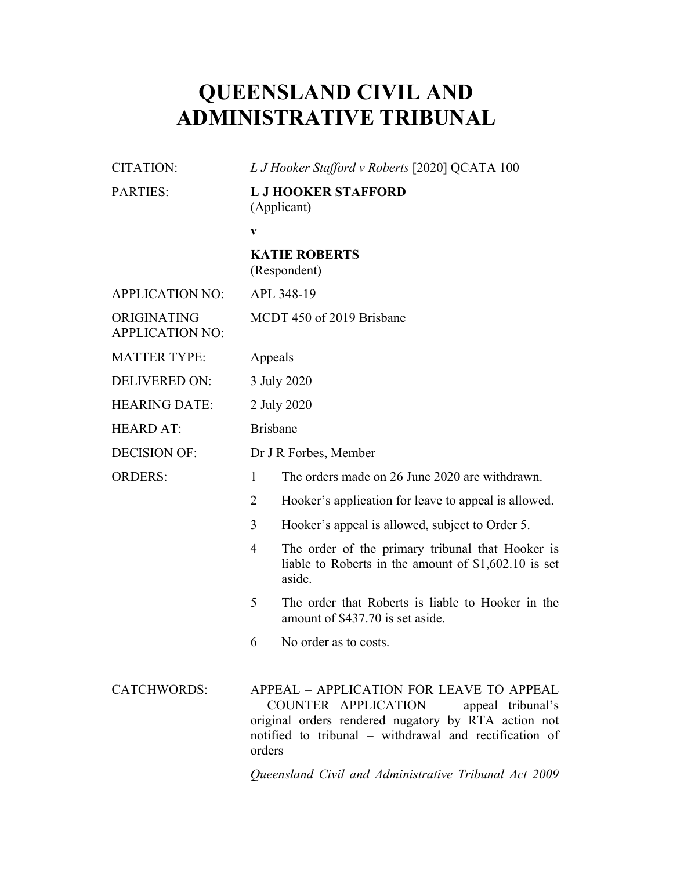## **QUEENSLAND CIVIL AND ADMINISTRATIVE TRIBUNAL**

| <b>CITATION:</b>                      | L J Hooker Stafford v Roberts [2020] QCATA 100                                                                                                                                                                   |
|---------------------------------------|------------------------------------------------------------------------------------------------------------------------------------------------------------------------------------------------------------------|
| <b>PARTIES:</b>                       | <b>L J HOOKER STAFFORD</b><br>(Applicant)                                                                                                                                                                        |
|                                       | V                                                                                                                                                                                                                |
|                                       | <b>KATIE ROBERTS</b><br>(Respondent)                                                                                                                                                                             |
| <b>APPLICATION NO:</b>                | APL 348-19                                                                                                                                                                                                       |
| ORIGINATING<br><b>APPLICATION NO:</b> | MCDT 450 of 2019 Brisbane                                                                                                                                                                                        |
| <b>MATTER TYPE:</b>                   | Appeals                                                                                                                                                                                                          |
| <b>DELIVERED ON:</b>                  | 3 July 2020                                                                                                                                                                                                      |
| <b>HEARING DATE:</b>                  | 2 July 2020                                                                                                                                                                                                      |
| <b>HEARD AT:</b>                      | <b>Brisbane</b>                                                                                                                                                                                                  |
| <b>DECISION OF:</b>                   | Dr J R Forbes, Member                                                                                                                                                                                            |
| <b>ORDERS:</b>                        | The orders made on 26 June 2020 are withdrawn.<br>1                                                                                                                                                              |
|                                       | $\overline{2}$<br>Hooker's application for leave to appeal is allowed.                                                                                                                                           |
|                                       | 3<br>Hooker's appeal is allowed, subject to Order 5.                                                                                                                                                             |
|                                       | The order of the primary tribunal that Hooker is<br>4<br>liable to Roberts in the amount of $$1,602.10$ is set<br>aside.                                                                                         |
|                                       | 5<br>The order that Roberts is liable to Hooker in the<br>amount of \$437.70 is set aside.                                                                                                                       |
|                                       | No order as to costs.<br>6                                                                                                                                                                                       |
| <b>CATCHWORDS:</b>                    | APPEAL - APPLICATION FOR LEAVE TO APPEAL<br>- COUNTER APPLICATION - appeal tribunal's<br>original orders rendered nugatory by RTA action not<br>notified to tribunal – withdrawal and rectification of<br>orders |
|                                       | Queensland Civil and Administrative Tribunal Act 2009                                                                                                                                                            |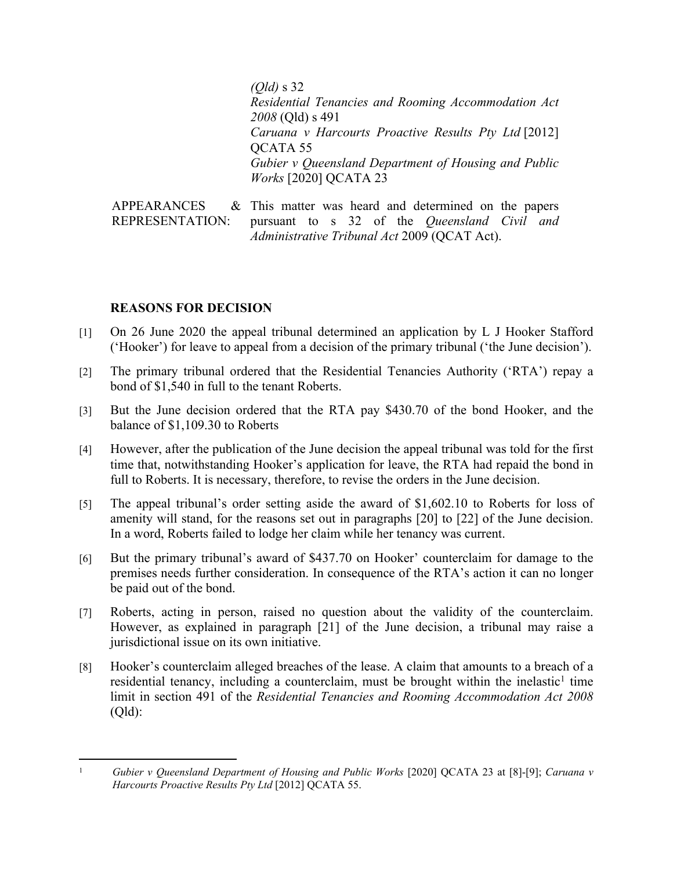*(Qld)* s 32 *Residential Tenancies and Rooming Accommodation Act 2008* (Qld) s 491 *Caruana v Harcourts Proactive Results Pty Ltd* [2012] QCATA 55 *Gubier v Queensland Department of Housing and Public Works* [2020] QCATA 23

**APPEARANCES** REPRESENTATION: This matter was heard and determined on the papers pursuant to s 32 of the *Queensland Civil and Administrative Tribunal Act* 2009 (QCAT Act).

## **REASONS FOR DECISION**

- [1] On 26 June 2020 the appeal tribunal determined an application by L J Hooker Stafford ('Hooker') for leave to appeal from a decision of the primary tribunal ('the June decision').
- [2] The primary tribunal ordered that the Residential Tenancies Authority ('RTA') repay a bond of \$1,540 in full to the tenant Roberts.
- [3] But the June decision ordered that the RTA pay \$430.70 of the bond Hooker, and the balance of \$1,109.30 to Roberts
- [4] However, after the publication of the June decision the appeal tribunal was told for the first time that, notwithstanding Hooker's application for leave, the RTA had repaid the bond in full to Roberts. It is necessary, therefore, to revise the orders in the June decision.
- [5] The appeal tribunal's order setting aside the award of \$1,602.10 to Roberts for loss of amenity will stand, for the reasons set out in paragraphs [20] to [22] of the June decision. In a word, Roberts failed to lodge her claim while her tenancy was current.
- [6] But the primary tribunal's award of \$437.70 on Hooker' counterclaim for damage to the premises needs further consideration. In consequence of the RTA's action it can no longer be paid out of the bond.
- [7] Roberts, acting in person, raised no question about the validity of the counterclaim. However, as explained in paragraph [21] of the June decision, a tribunal may raise a jurisdictional issue on its own initiative.
- [8] Hooker's counterclaim alleged breaches of the lease. A claim that amounts to a breach of a residential tenancy, including a counterclaim, must be brought within the inelastic<sup>1</sup> time limit in section 491 of the *Residential Tenancies and Rooming Accommodation Act 2008*  (Qld):

<sup>&</sup>lt;sup>1</sup> *Gubier v Queensland Department of Housing and Public Works* [2020] QCATA 23 at [8]-[9]; *Caruana v Harcourts Proactive Results Pty Ltd* [2012] QCATA 55.